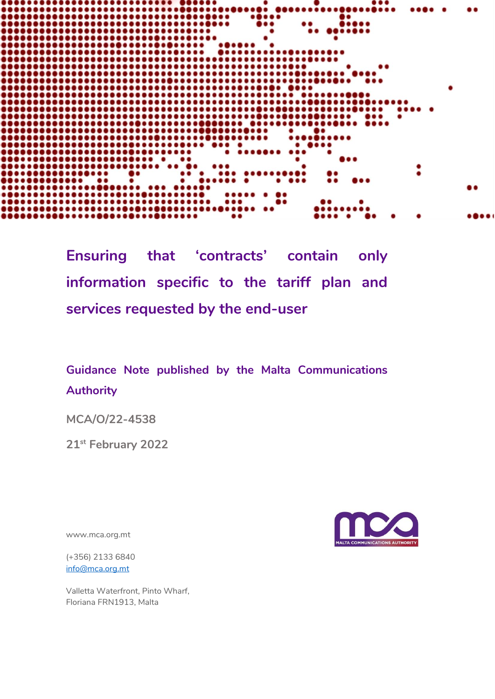

**Ensuring that 'contracts' contain only information specific to the tariff plan and services requested by the end-user**

## **Guidance Note published by the Malta Communications Authority**

**MCA/O/22-4538**

**21st February 2022**

www.mca.org.mt

(+356) 2133 6840 [info@mca.org.mt](mailto:info@mca.org.mt)

Valletta Waterfront, Pinto Wharf, Floriana FRN1913, Malta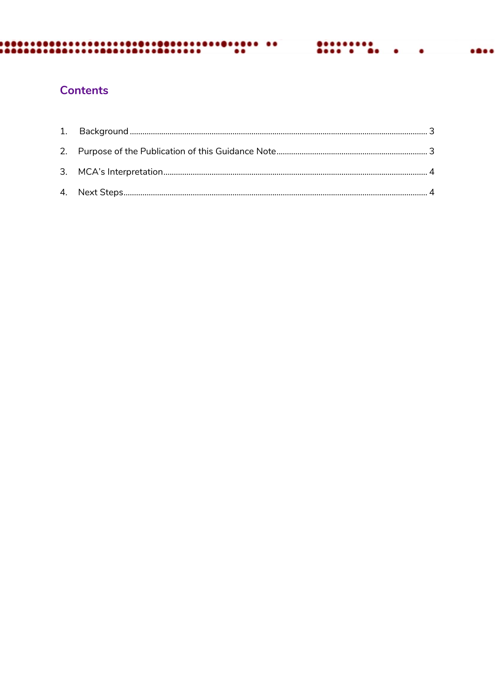#### ............  $\bullet\bullet\bullet\bullet$  $\bullet$

## **Contents**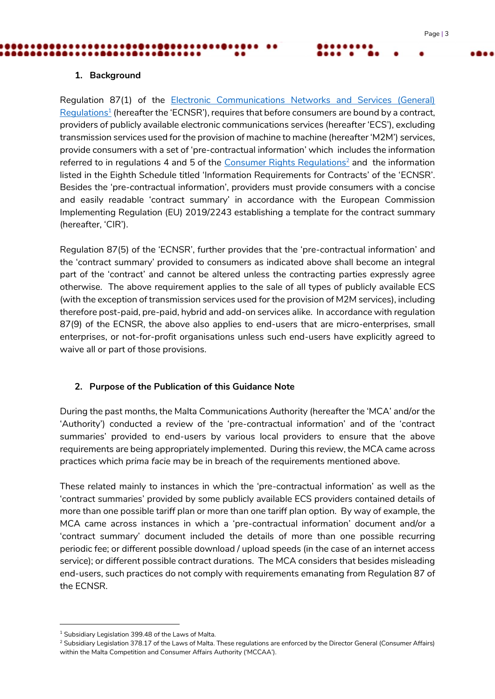#### <span id="page-2-0"></span>**1. Background**

Regulation 87(1) of the **Electronic Communications Networks and Services (General)** [Regulations](https://legislation.mt/eli/sl/399.48/20211001/eng)<sup>1</sup> (hereafter the 'ECNSR'), requires that before consumers are bound by a contract, providers of publicly available electronic communications services (hereafter 'ECS'), excluding transmission services used for the provision of machine to machine (hereafter 'M2M') services, provide consumers with a set of 'pre-contractual information' which includes the information referred to in regulations 4 and 5 of the [Consumer Rights Regulations](https://mccaa.org.mt/media/2708/37817__consumer_rights_regulations.pdf)<sup>2</sup> and the information listed in the Eighth Schedule titled 'Information Requirements for Contracts' of the 'ECNSR'. Besides the 'pre-contractual information', providers must provide consumers with a concise and easily readable 'contract summary' in accordance with the European Commission Implementing Regulation (EU) 2019/2243 establishing a template for the contract summary (hereafter, 'CIR').

Regulation 87(5) of the 'ECNSR', further provides that the 'pre-contractual information' and the 'contract summary' provided to consumers as indicated above shall become an integral part of the 'contract' and cannot be altered unless the contracting parties expressly agree otherwise. The above requirement applies to the sale of all types of publicly available ECS (with the exception of transmission services used for the provision of M2M services), including therefore post-paid, pre-paid, hybrid and add-on services alike. In accordance with regulation 87(9) of the ECNSR, the above also applies to end-users that are micro-enterprises, small enterprises, or not-for-profit organisations unless such end-users have explicitly agreed to waive all or part of those provisions.

#### <span id="page-2-1"></span>**2. Purpose of the Publication of this Guidance Note**

During the past months, the Malta Communications Authority (hereafter the 'MCA' and/or the 'Authority') conducted a review of the 'pre-contractual information' and of the 'contract summaries' provided to end-users by various local providers to ensure that the above requirements are being appropriately implemented. During this review, the MCA came across practices which *prima facie* may be in breach of the requirements mentioned above.

These related mainly to instances in which the 'pre-contractual information' as well as the 'contract summaries' provided by some publicly available ECS providers contained details of more than one possible tariff plan or more than one tariff plan option. By way of example, the MCA came across instances in which a 'pre-contractual information' document and/or a 'contract summary' document included the details of more than one possible recurring periodic fee; or different possible download / upload speeds (in the case of an internet access service); or different possible contract durations. The MCA considers that besides misleading end-users, such practices do not comply with requirements emanating from Regulation 87 of the ECNSR.

-

 $1$  Subsidiary Legislation 399.48 of the Laws of Malta.

<sup>&</sup>lt;sup>2</sup> Subsidiary Legislation 378.17 of the Laws of Malta. These regulations are enforced by the Director General (Consumer Affairs) within the Malta Competition and Consumer Affairs Authority ('MCCAA').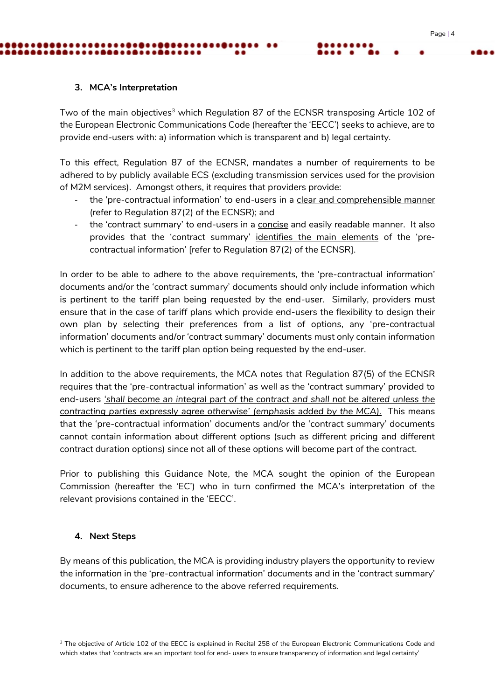### <span id="page-3-0"></span>**3. MCA's Interpretation**

Two of the main objectives<sup>3</sup> which Regulation 87 of the ECNSR transposing Article 102 of the European Electronic Communications Code (hereafter the 'EECC') seeks to achieve, are to provide end-users with: a) information which is transparent and b) legal certainty.

To this effect, Regulation 87 of the ECNSR, mandates a number of requirements to be adhered to by publicly available ECS (excluding transmission services used for the provision of M2M services). Amongst others, it requires that providers provide:

- the 'pre-contractual information' to end-users in a clear and comprehensible manner (refer to Regulation 87(2) of the ECNSR); and
- the 'contract summary' to end-users in a concise and easily readable manner. It also provides that the 'contract summary' identifies the main elements of the 'precontractual information' [refer to Regulation 87(2) of the ECNSR].

In order to be able to adhere to the above requirements, the 'pre-contractual information' documents and/or the 'contract summary' documents should only include information which is pertinent to the tariff plan being requested by the end-user. Similarly, providers must ensure that in the case of tariff plans which provide end-users the flexibility to design their own plan by selecting their preferences from a list of options, any 'pre-contractual information' documents and/or 'contract summary' documents must only contain information which is pertinent to the tariff plan option being requested by the end-user.

In addition to the above requirements, the MCA notes that Regulation 87(5) of the ECNSR requires that the 'pre-contractual information' as well as the 'contract summary' provided to end-users *'shall become an integral part of the contract and shall not be altered unless the contracting parties expressly agree otherwise' (emphasis added by the MCA).* This means that the 'pre-contractual information' documents and/or the 'contract summary' documents cannot contain information about different options (such as different pricing and different contract duration options) since not all of these options will become part of the contract.

Prior to publishing this Guidance Note, the MCA sought the opinion of the European Commission (hereafter the 'EC') who in turn confirmed the MCA's interpretation of the relevant provisions contained in the 'EECC'.

#### <span id="page-3-1"></span>**4. Next Steps**

-

By means of this publication, the MCA is providing industry players the opportunity to review the information in the 'pre-contractual information' documents and in the 'contract summary' documents, to ensure adherence to the above referred requirements.

<sup>&</sup>lt;sup>3</sup> The objective of Article 102 of the EECC is explained in Recital 258 of the European Electronic Communications Code and which states that 'contracts are an important tool for end- users to ensure transparency of information and legal certainty'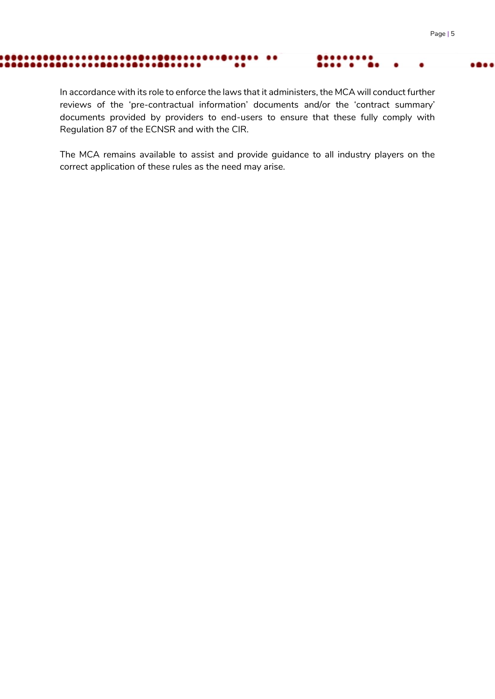#### ............  $\cdots$  $\bullet$

In accordance with its role to enforce the laws that it administers, the MCA will conduct further reviews of the 'pre-contractual information' documents and/or the 'contract summary' documents provided by providers to end-users to ensure that these fully comply with Regulation 87 of the ECNSR and with the CIR.

The MCA remains available to assist and provide guidance to all industry players on the correct application of these rules as the need may arise.